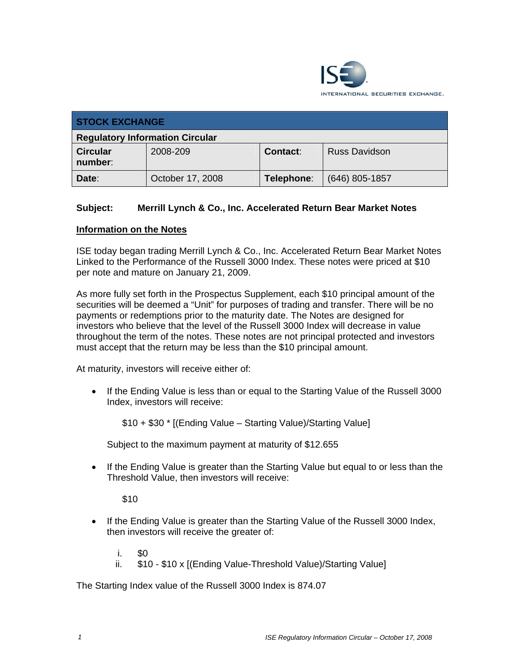

| <b>STOCK EXCHANGE</b>                  |                  |            |                      |  |  |
|----------------------------------------|------------------|------------|----------------------|--|--|
| <b>Regulatory Information Circular</b> |                  |            |                      |  |  |
| <b>Circular</b><br>number:             | 2008-209         | Contact:   | <b>Russ Davidson</b> |  |  |
| Date:                                  | October 17, 2008 | Telephone: | $(646)$ 805-1857     |  |  |

## **Subject: Merrill Lynch & Co., Inc. Accelerated Return Bear Market Notes**

## **Information on the Notes**

ISE today began trading Merrill Lynch & Co., Inc. Accelerated Return Bear Market Notes Linked to the Performance of the Russell 3000 Index. These notes were priced at \$10 per note and mature on January 21, 2009.

As more fully set forth in the Prospectus Supplement, each \$10 principal amount of the securities will be deemed a "Unit" for purposes of trading and transfer. There will be no payments or redemptions prior to the maturity date. The Notes are designed for investors who believe that the level of the Russell 3000 Index will decrease in value throughout the term of the notes. These notes are not principal protected and investors must accept that the return may be less than the \$10 principal amount.

At maturity, investors will receive either of:

• If the Ending Value is less than or equal to the Starting Value of the Russell 3000 Index, investors will receive:

\$10 + \$30 \* [(Ending Value – Starting Value)/Starting Value]

Subject to the maximum payment at maturity of \$12.655

• If the Ending Value is greater than the Starting Value but equal to or less than the Threshold Value, then investors will receive:

\$10

- If the Ending Value is greater than the Starting Value of the Russell 3000 Index, then investors will receive the greater of:
	- $\mathbf{i}$ .
	- ii. \$10 \$10 x [(Ending Value-Threshold Value)/Starting Value]

The Starting Index value of the Russell 3000 Index is 874.07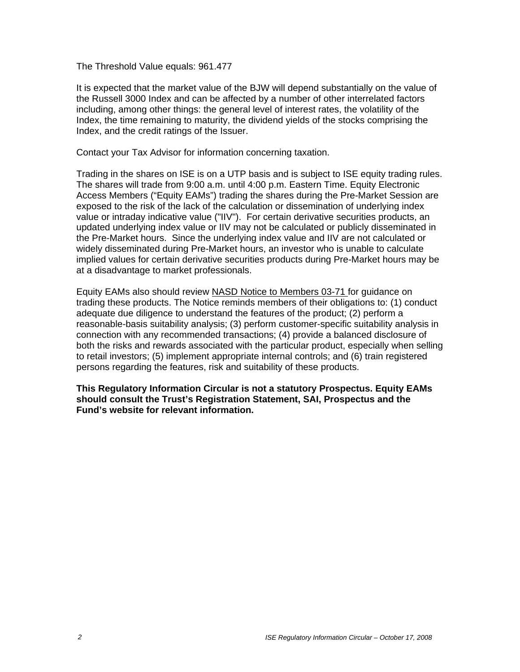The Threshold Value equals: 961.477

It is expected that the market value of the BJW will depend substantially on the value of the Russell 3000 Index and can be affected by a number of other interrelated factors including, among other things: the general level of interest rates, the volatility of the Index, the time remaining to maturity, the dividend yields of the stocks comprising the Index, and the credit ratings of the Issuer.

Contact your Tax Advisor for information concerning taxation.

Trading in the shares on ISE is on a UTP basis and is subject to ISE equity trading rules. The shares will trade from 9:00 a.m. until 4:00 p.m. Eastern Time. Equity Electronic Access Members ("Equity EAMs") trading the shares during the Pre-Market Session are exposed to the risk of the lack of the calculation or dissemination of underlying index value or intraday indicative value ("IIV"). For certain derivative securities products, an updated underlying index value or IIV may not be calculated or publicly disseminated in the Pre-Market hours. Since the underlying index value and IIV are not calculated or widely disseminated during Pre-Market hours, an investor who is unable to calculate implied values for certain derivative securities products during Pre-Market hours may be at a disadvantage to market professionals.

Equity EAMs also should review NASD Notice to Members 03-71 for guidance on trading these products. The Notice reminds members of their obligations to: (1) conduct adequate due diligence to understand the features of the product; (2) perform a reasonable-basis suitability analysis; (3) perform customer-specific suitability analysis in connection with any recommended transactions; (4) provide a balanced disclosure of both the risks and rewards associated with the particular product, especially when selling to retail investors; (5) implement appropriate internal controls; and (6) train registered persons regarding the features, risk and suitability of these products.

**This Regulatory Information Circular is not a statutory Prospectus. Equity EAMs should consult the Trust's Registration Statement, SAI, Prospectus and the Fund's website for relevant information.**